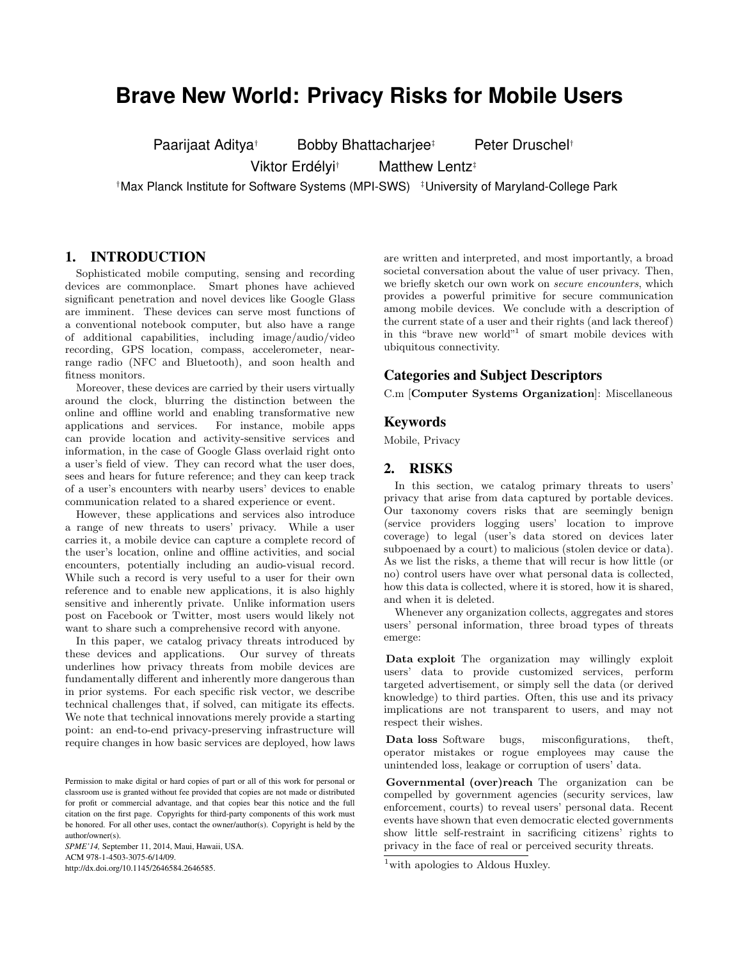# **Brave New World: Privacy Risks for Mobile Users**

Paarijaat Aditya<sup>†</sup> Bobby Bhattacharjee<sup>‡</sup> Peter Druschel<sup>†</sup>

Viktor Erdélyi† Matthew Lentz‡

†Max Planck Institute for Software Systems (MPI-SWS) ‡University of Maryland-College Park

# 1. INTRODUCTION

Sophisticated mobile computing, sensing and recording devices are commonplace. Smart phones have achieved significant penetration and novel devices like Google Glass are imminent. These devices can serve most functions of a conventional notebook computer, but also have a range of additional capabilities, including image/audio/video recording, GPS location, compass, accelerometer, nearrange radio (NFC and Bluetooth), and soon health and fitness monitors.

Moreover, these devices are carried by their users virtually around the clock, blurring the distinction between the online and offline world and enabling transformative new applications and services. For instance, mobile apps can provide location and activity-sensitive services and information, in the case of Google Glass overlaid right onto a user's field of view. They can record what the user does, sees and hears for future reference; and they can keep track of a user's encounters with nearby users' devices to enable communication related to a shared experience or event.

However, these applications and services also introduce a range of new threats to users' privacy. While a user carries it, a mobile device can capture a complete record of the user's location, online and offline activities, and social encounters, potentially including an audio-visual record. While such a record is very useful to a user for their own reference and to enable new applications, it is also highly sensitive and inherently private. Unlike information users post on Facebook or Twitter, most users would likely not want to share such a comprehensive record with anyone.

In this paper, we catalog privacy threats introduced by these devices and applications. Our survey of threats underlines how privacy threats from mobile devices are fundamentally different and inherently more dangerous than in prior systems. For each specific risk vector, we describe technical challenges that, if solved, can mitigate its effects. We note that technical innovations merely provide a starting point: an end-to-end privacy-preserving infrastructure will require changes in how basic services are deployed, how laws

*SPME'14,* September 11, 2014, Maui, Hawaii, USA. ACM 978-1-4503-3075-6/14/09. http://dx.doi.org/10.1145/2646584.2646585.

are written and interpreted, and most importantly, a broad societal conversation about the value of user privacy. Then, we briefly sketch our own work on *secure encounters*, which provides a powerful primitive for secure communication among mobile devices. We conclude with a description of the current state of a user and their rights (and lack thereof) in this "brave new world"<sup>[1](#page-0-0)</sup> of smart mobile devices with ubiquitous connectivity.

## Categories and Subject Descriptors

C.m [Computer Systems Organization]: Miscellaneous

## Keywords

Mobile, Privacy

## 2. RISKS

In this section, we catalog primary threats to users' privacy that arise from data captured by portable devices. Our taxonomy covers risks that are seemingly benign (service providers logging users' location to improve coverage) to legal (user's data stored on devices later subpoenaed by a court) to malicious (stolen device or data). As we list the risks, a theme that will recur is how little (or no) control users have over what personal data is collected, how this data is collected, where it is stored, how it is shared, and when it is deleted.

Whenever any organization collects, aggregates and stores users' personal information, three broad types of threats emerge:

Data exploit The organization may willingly exploit users' data to provide customized services, perform targeted advertisement, or simply sell the data (or derived knowledge) to third parties. Often, this use and its privacy implications are not transparent to users, and may not respect their wishes.

Data loss Software bugs, misconfigurations, theft, operator mistakes or rogue employees may cause the unintended loss, leakage or corruption of users' data.

Governmental (over)reach The organization can be compelled by government agencies (security services, law enforcement, courts) to reveal users' personal data. Recent events have shown that even democratic elected governments show little self-restraint in sacrificing citizens' rights to privacy in the face of real or perceived security threats.

Permission to make digital or hard copies of part or all of this work for personal or classroom use is granted without fee provided that copies are not made or distributed for profit or commercial advantage, and that copies bear this notice and the full citation on the first page. Copyrights for third-party components of this work must be honored. For all other uses, contact the owner/author(s). Copyright is held by the author/owner(s).

<span id="page-0-0"></span><sup>&</sup>lt;sup>1</sup> with apologies to Aldous Huxley.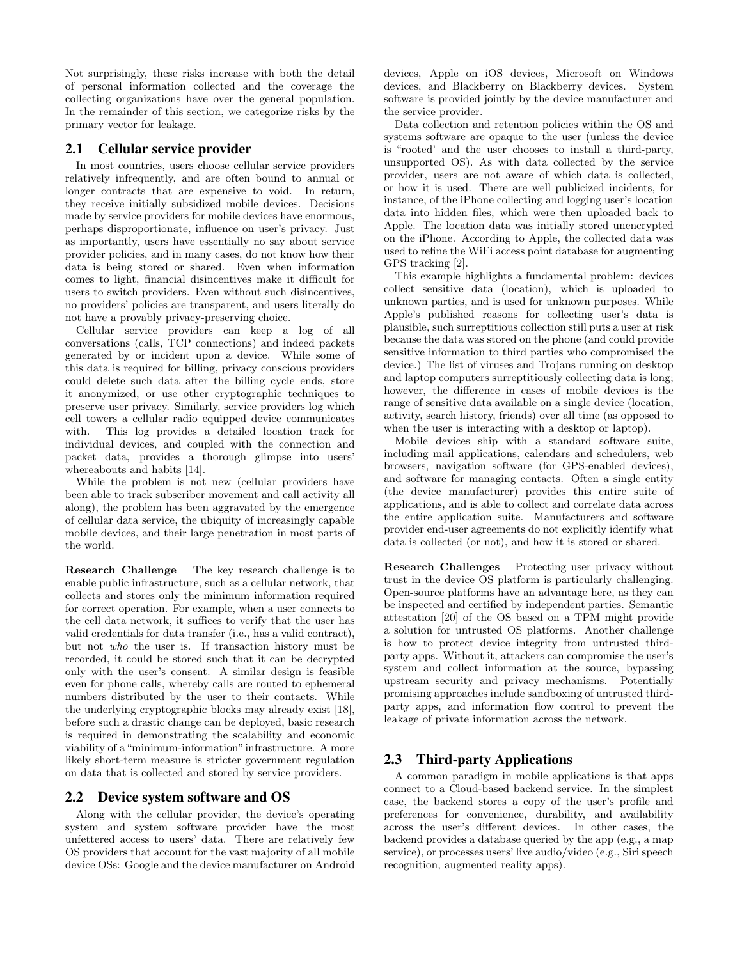Not surprisingly, these risks increase with both the detail of personal information collected and the coverage the collecting organizations have over the general population. In the remainder of this section, we categorize risks by the primary vector for leakage.

## 2.1 Cellular service provider

In most countries, users choose cellular service providers relatively infrequently, and are often bound to annual or longer contracts that are expensive to void. In return, they receive initially subsidized mobile devices. Decisions made by service providers for mobile devices have enormous, perhaps disproportionate, influence on user's privacy. Just as importantly, users have essentially no say about service provider policies, and in many cases, do not know how their data is being stored or shared. Even when information comes to light, financial disincentives make it difficult for users to switch providers. Even without such disincentives, no providers' policies are transparent, and users literally do not have a provably privacy-preserving choice.

Cellular service providers can keep a log of all conversations (calls, TCP connections) and indeed packets generated by or incident upon a device. While some of this data is required for billing, privacy conscious providers could delete such data after the billing cycle ends, store it anonymized, or use other cryptographic techniques to preserve user privacy. Similarly, service providers log which cell towers a cellular radio equipped device communicates with. This log provides a detailed location track for individual devices, and coupled with the connection and packet data, provides a thorough glimpse into users' whereabouts and habits [\[14\]](#page-4-0).

While the problem is not new (cellular providers have been able to track subscriber movement and call activity all along), the problem has been aggravated by the emergence of cellular data service, the ubiquity of increasingly capable mobile devices, and their large penetration in most parts of the world.

Research Challenge The key research challenge is to enable public infrastructure, such as a cellular network, that collects and stores only the minimum information required for correct operation. For example, when a user connects to the cell data network, it suffices to verify that the user has valid credentials for data transfer (i.e., has a valid contract), but not who the user is. If transaction history must be recorded, it could be stored such that it can be decrypted only with the user's consent. A similar design is feasible even for phone calls, whereby calls are routed to ephemeral numbers distributed by the user to their contacts. While the underlying cryptographic blocks may already exist [\[18\]](#page-4-1), before such a drastic change can be deployed, basic research is required in demonstrating the scalability and economic viability of a "minimum-information"infrastructure. A more likely short-term measure is stricter government regulation on data that is collected and stored by service providers.

## 2.2 Device system software and OS

Along with the cellular provider, the device's operating system and system software provider have the most unfettered access to users' data. There are relatively few OS providers that account for the vast majority of all mobile device OSs: Google and the device manufacturer on Android devices, Apple on iOS devices, Microsoft on Windows devices, and Blackberry on Blackberry devices. System software is provided jointly by the device manufacturer and the service provider.

Data collection and retention policies within the OS and systems software are opaque to the user (unless the device is "rooted' and the user chooses to install a third-party, unsupported OS). As with data collected by the service provider, users are not aware of which data is collected, or how it is used. There are well publicized incidents, for instance, of the iPhone collecting and logging user's location data into hidden files, which were then uploaded back to Apple. The location data was initially stored unencrypted on the iPhone. According to Apple, the collected data was used to refine the WiFi access point database for augmenting GPS tracking [\[2\]](#page-3-0).

This example highlights a fundamental problem: devices collect sensitive data (location), which is uploaded to unknown parties, and is used for unknown purposes. While Apple's published reasons for collecting user's data is plausible, such surreptitious collection still puts a user at risk because the data was stored on the phone (and could provide sensitive information to third parties who compromised the device.) The list of viruses and Trojans running on desktop and laptop computers surreptitiously collecting data is long; however, the difference in cases of mobile devices is the range of sensitive data available on a single device (location, activity, search history, friends) over all time (as opposed to when the user is interacting with a desktop or laptop).

Mobile devices ship with a standard software suite, including mail applications, calendars and schedulers, web browsers, navigation software (for GPS-enabled devices), and software for managing contacts. Often a single entity (the device manufacturer) provides this entire suite of applications, and is able to collect and correlate data across the entire application suite. Manufacturers and software provider end-user agreements do not explicitly identify what data is collected (or not), and how it is stored or shared.

Research Challenges Protecting user privacy without trust in the device OS platform is particularly challenging. Open-source platforms have an advantage here, as they can be inspected and certified by independent parties. Semantic attestation [\[20\]](#page-4-2) of the OS based on a TPM might provide a solution for untrusted OS platforms. Another challenge is how to protect device integrity from untrusted thirdparty apps. Without it, attackers can compromise the user's system and collect information at the source, bypassing upstream security and privacy mechanisms. Potentially promising approaches include sandboxing of untrusted thirdparty apps, and information flow control to prevent the leakage of private information across the network.

# 2.3 Third-party Applications

A common paradigm in mobile applications is that apps connect to a Cloud-based backend service. In the simplest case, the backend stores a copy of the user's profile and preferences for convenience, durability, and availability across the user's different devices. In other cases, the backend provides a database queried by the app (e.g., a map service), or processes users' live audio/video (e.g., Siri speech recognition, augmented reality apps).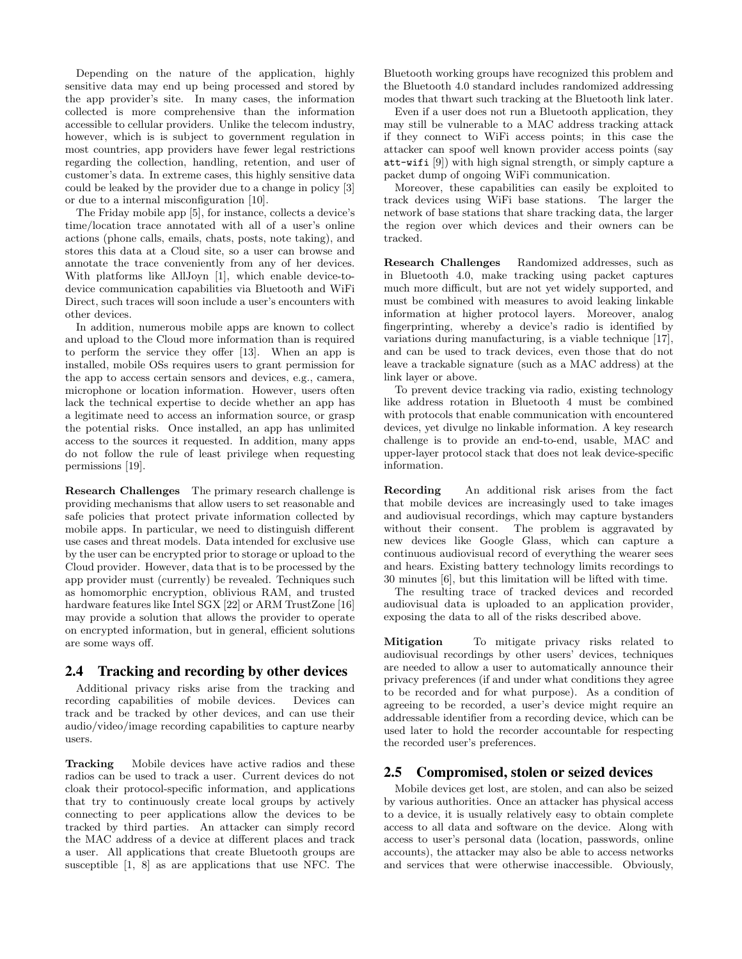Depending on the nature of the application, highly sensitive data may end up being processed and stored by the app provider's site. In many cases, the information collected is more comprehensive than the information accessible to cellular providers. Unlike the telecom industry, however, which is is subject to government regulation in most countries, app providers have fewer legal restrictions regarding the collection, handling, retention, and user of customer's data. In extreme cases, this highly sensitive data could be leaked by the provider due to a change in policy [\[3\]](#page-4-3) or due to a internal misconfiguration [\[10\]](#page-4-4).

The Friday mobile app [\[5\]](#page-4-5), for instance, collects a device's time/location trace annotated with all of a user's online actions (phone calls, emails, chats, posts, note taking), and stores this data at a Cloud site, so a user can browse and annotate the trace conveniently from any of her devices. With platforms like AllJoyn [\[1\]](#page-3-1), which enable device-todevice communication capabilities via Bluetooth and WiFi Direct, such traces will soon include a user's encounters with other devices.

In addition, numerous mobile apps are known to collect and upload to the Cloud more information than is required to perform the service they offer [\[13\]](#page-4-6). When an app is installed, mobile OSs requires users to grant permission for the app to access certain sensors and devices, e.g., camera, microphone or location information. However, users often lack the technical expertise to decide whether an app has a legitimate need to access an information source, or grasp the potential risks. Once installed, an app has unlimited access to the sources it requested. In addition, many apps do not follow the rule of least privilege when requesting permissions [\[19\]](#page-4-7).

Research Challenges The primary research challenge is providing mechanisms that allow users to set reasonable and safe policies that protect private information collected by mobile apps. In particular, we need to distinguish different use cases and threat models. Data intended for exclusive use by the user can be encrypted prior to storage or upload to the Cloud provider. However, data that is to be processed by the app provider must (currently) be revealed. Techniques such as homomorphic encryption, oblivious RAM, and trusted hardware features like Intel SGX [\[22\]](#page-4-8) or ARM TrustZone [\[16\]](#page-4-9) may provide a solution that allows the provider to operate on encrypted information, but in general, efficient solutions are some ways off.

## 2.4 Tracking and recording by other devices

Additional privacy risks arise from the tracking and recording capabilities of mobile devices. Devices can track and be tracked by other devices, and can use their audio/video/image recording capabilities to capture nearby users.

Tracking Mobile devices have active radios and these radios can be used to track a user. Current devices do not cloak their protocol-specific information, and applications that try to continuously create local groups by actively connecting to peer applications allow the devices to be tracked by third parties. An attacker can simply record the MAC address of a device at different places and track a user. All applications that create Bluetooth groups are susceptible [\[1,](#page-3-1) [8\]](#page-4-10) as are applications that use NFC. The Bluetooth working groups have recognized this problem and the Bluetooth 4.0 standard includes randomized addressing modes that thwart such tracking at the Bluetooth link later.

Even if a user does not run a Bluetooth application, they may still be vulnerable to a MAC address tracking attack if they connect to WiFi access points; in this case the attacker can spoof well known provider access points (say att-wifi [\[9\]](#page-4-11)) with high signal strength, or simply capture a packet dump of ongoing WiFi communication.

Moreover, these capabilities can easily be exploited to track devices using WiFi base stations. The larger the network of base stations that share tracking data, the larger the region over which devices and their owners can be tracked.

Research Challenges Randomized addresses, such as in Bluetooth 4.0, make tracking using packet captures much more difficult, but are not yet widely supported, and must be combined with measures to avoid leaking linkable information at higher protocol layers. Moreover, analog fingerprinting, whereby a device's radio is identified by variations during manufacturing, is a viable technique [\[17\]](#page-4-12), and can be used to track devices, even those that do not leave a trackable signature (such as a MAC address) at the link layer or above.

To prevent device tracking via radio, existing technology like address rotation in Bluetooth 4 must be combined with protocols that enable communication with encountered devices, yet divulge no linkable information. A key research challenge is to provide an end-to-end, usable, MAC and upper-layer protocol stack that does not leak device-specific information.

Recording An additional risk arises from the fact that mobile devices are increasingly used to take images and audiovisual recordings, which may capture bystanders without their consent. The problem is aggravated by new devices like Google Glass, which can capture a continuous audiovisual record of everything the wearer sees and hears. Existing battery technology limits recordings to 30 minutes [\[6\]](#page-4-13), but this limitation will be lifted with time.

The resulting trace of tracked devices and recorded audiovisual data is uploaded to an application provider, exposing the data to all of the risks described above.

Mitigation To mitigate privacy risks related to audiovisual recordings by other users' devices, techniques are needed to allow a user to automatically announce their privacy preferences (if and under what conditions they agree to be recorded and for what purpose). As a condition of agreeing to be recorded, a user's device might require an addressable identifier from a recording device, which can be used later to hold the recorder accountable for respecting the recorded user's preferences.

# 2.5 Compromised, stolen or seized devices

Mobile devices get lost, are stolen, and can also be seized by various authorities. Once an attacker has physical access to a device, it is usually relatively easy to obtain complete access to all data and software on the device. Along with access to user's personal data (location, passwords, online accounts), the attacker may also be able to access networks and services that were otherwise inaccessible. Obviously,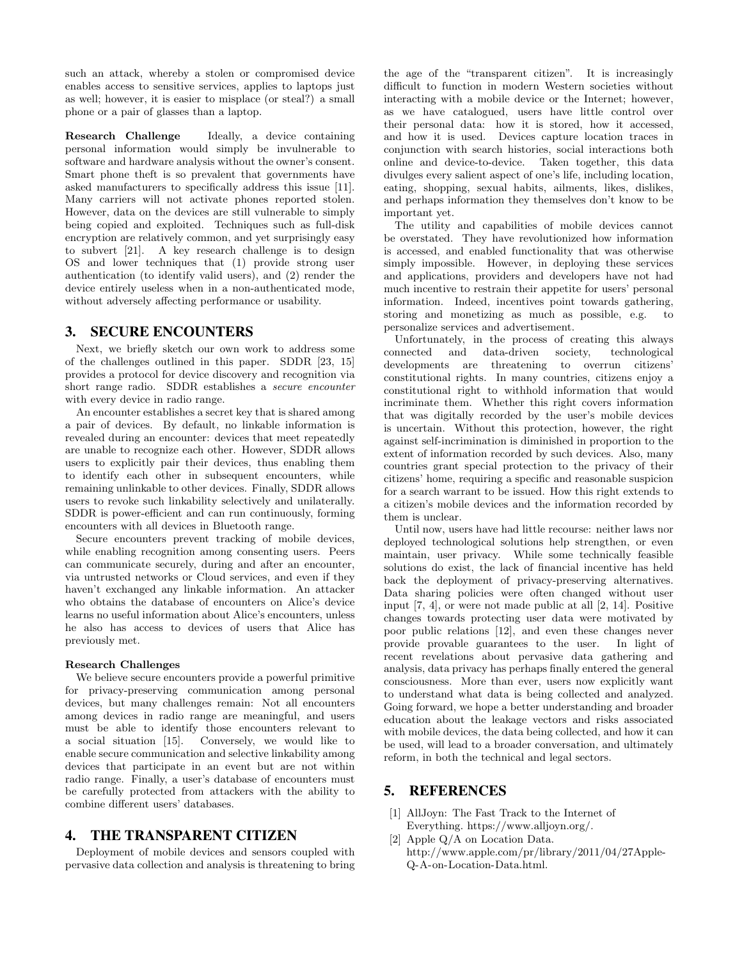such an attack, whereby a stolen or compromised device enables access to sensitive services, applies to laptops just as well; however, it is easier to misplace (or steal?) a small phone or a pair of glasses than a laptop.

Research Challenge Ideally, a device containing personal information would simply be invulnerable to software and hardware analysis without the owner's consent. Smart phone theft is so prevalent that governments have asked manufacturers to specifically address this issue [\[11\]](#page-4-14). Many carriers will not activate phones reported stolen. However, data on the devices are still vulnerable to simply being copied and exploited. Techniques such as full-disk encryption are relatively common, and yet surprisingly easy to subvert [\[21\]](#page-4-15). A key research challenge is to design OS and lower techniques that (1) provide strong user authentication (to identify valid users), and (2) render the device entirely useless when in a non-authenticated mode, without adversely affecting performance or usability.

## 3. SECURE ENCOUNTERS

Next, we briefly sketch our own work to address some of the challenges outlined in this paper. SDDR [\[23,](#page-4-16) [15\]](#page-4-17) provides a protocol for device discovery and recognition via short range radio. SDDR establishes a secure encounter with every device in radio range.

An encounter establishes a secret key that is shared among a pair of devices. By default, no linkable information is revealed during an encounter: devices that meet repeatedly are unable to recognize each other. However, SDDR allows users to explicitly pair their devices, thus enabling them to identify each other in subsequent encounters, while remaining unlinkable to other devices. Finally, SDDR allows users to revoke such linkability selectively and unilaterally. SDDR is power-efficient and can run continuously, forming encounters with all devices in Bluetooth range.

Secure encounters prevent tracking of mobile devices, while enabling recognition among consenting users. Peers can communicate securely, during and after an encounter, via untrusted networks or Cloud services, and even if they haven't exchanged any linkable information. An attacker who obtains the database of encounters on Alice's device learns no useful information about Alice's encounters, unless he also has access to devices of users that Alice has previously met.

#### Research Challenges

We believe secure encounters provide a powerful primitive for privacy-preserving communication among personal devices, but many challenges remain: Not all encounters among devices in radio range are meaningful, and users must be able to identify those encounters relevant to a social situation [\[15\]](#page-4-17). Conversely, we would like to enable secure communication and selective linkability among devices that participate in an event but are not within radio range. Finally, a user's database of encounters must be carefully protected from attackers with the ability to combine different users' databases.

## 4. THE TRANSPARENT CITIZEN

Deployment of mobile devices and sensors coupled with pervasive data collection and analysis is threatening to bring the age of the "transparent citizen". It is increasingly difficult to function in modern Western societies without interacting with a mobile device or the Internet; however, as we have catalogued, users have little control over their personal data: how it is stored, how it accessed, and how it is used. Devices capture location traces in conjunction with search histories, social interactions both online and device-to-device. Taken together, this data divulges every salient aspect of one's life, including location, eating, shopping, sexual habits, ailments, likes, dislikes, and perhaps information they themselves don't know to be important yet.

The utility and capabilities of mobile devices cannot be overstated. They have revolutionized how information is accessed, and enabled functionality that was otherwise simply impossible. However, in deploying these services and applications, providers and developers have not had much incentive to restrain their appetite for users' personal information. Indeed, incentives point towards gathering, storing and monetizing as much as possible, e.g. to personalize services and advertisement.

Unfortunately, in the process of creating this always connected and data-driven society, technological developments are threatening to overrun citizens' constitutional rights. In many countries, citizens enjoy a constitutional right to withhold information that would incriminate them. Whether this right covers information that was digitally recorded by the user's mobile devices is uncertain. Without this protection, however, the right against self-incrimination is diminished in proportion to the extent of information recorded by such devices. Also, many countries grant special protection to the privacy of their citizens' home, requiring a specific and reasonable suspicion for a search warrant to be issued. How this right extends to a citizen's mobile devices and the information recorded by them is unclear.

Until now, users have had little recourse: neither laws nor deployed technological solutions help strengthen, or even maintain, user privacy. While some technically feasible solutions do exist, the lack of financial incentive has held back the deployment of privacy-preserving alternatives. Data sharing policies were often changed without user input [\[7,](#page-4-18) [4\]](#page-4-19), or were not made public at all [\[2,](#page-3-0) [14\]](#page-4-0). Positive changes towards protecting user data were motivated by poor public relations [\[12\]](#page-4-20), and even these changes never provide provable guarantees to the user. In light of recent revelations about pervasive data gathering and analysis, data privacy has perhaps finally entered the general consciousness. More than ever, users now explicitly want to understand what data is being collected and analyzed. Going forward, we hope a better understanding and broader education about the leakage vectors and risks associated with mobile devices, the data being collected, and how it can be used, will lead to a broader conversation, and ultimately reform, in both the technical and legal sectors.

## 5. REFERENCES

- <span id="page-3-1"></span>[1] AllJoyn: The Fast Track to the Internet of Everything. [https://www.alljoyn.org/.](https://www.alljoyn.org/)
- <span id="page-3-0"></span>[2] Apple Q/A on Location Data. [http://www.apple.com/pr/library/2011/04/27Apple-](http://www.apple.com/pr/library/2011/04/27Apple-Q-A-on-Location-Data.html)[Q-A-on-Location-Data.html.](http://www.apple.com/pr/library/2011/04/27Apple-Q-A-on-Location-Data.html)